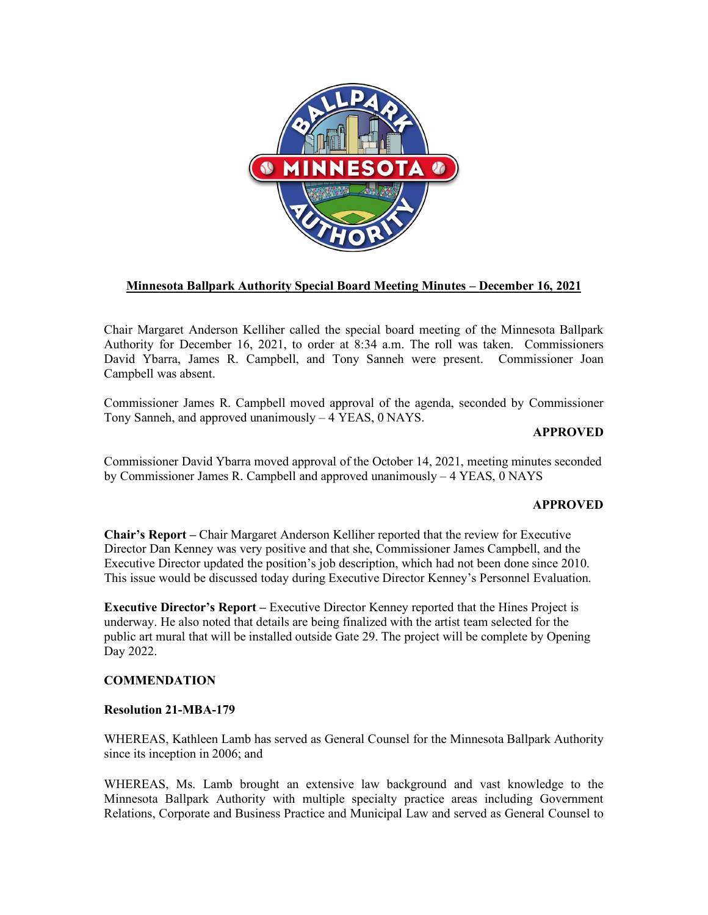

# **Minnesota Ballpark Authority Special Board Meeting Minutes – December 16, 2021**

Chair Margaret Anderson Kelliher called the special board meeting of the Minnesota Ballpark Authority for December 16, 2021, to order at 8:34 a.m. The roll was taken. Commissioners David Ybarra, James R. Campbell, and Tony Sanneh were present. Commissioner Joan Campbell was absent.

Commissioner James R. Campbell moved approval of the agenda, seconded by Commissioner Tony Sanneh, and approved unanimously – 4 YEAS, 0 NAYS.

## **APPROVED**

Commissioner David Ybarra moved approval of the October 14, 2021, meeting minutes seconded by Commissioner James R. Campbell and approved unanimously – 4 YEAS, 0 NAYS

## **APPROVED**

**Chair's Report –** Chair Margaret Anderson Kelliher reported that the review for Executive Director Dan Kenney was very positive and that she, Commissioner James Campbell, and the Executive Director updated the position's job description, which had not been done since 2010. This issue would be discussed today during Executive Director Kenney's Personnel Evaluation.

**Executive Director's Report –** Executive Director Kenney reported that the Hines Project is underway. He also noted that details are being finalized with the artist team selected for the public art mural that will be installed outside Gate 29. The project will be complete by Opening Day 2022.

## **COMMENDATION**

## **Resolution 21-MBA-179**

WHEREAS, Kathleen Lamb has served as General Counsel for the Minnesota Ballpark Authority since its inception in 2006; and

WHEREAS, Ms. Lamb brought an extensive law background and vast knowledge to the Minnesota Ballpark Authority with multiple specialty practice areas including Government Relations, Corporate and Business Practice and Municipal Law and served as General Counsel to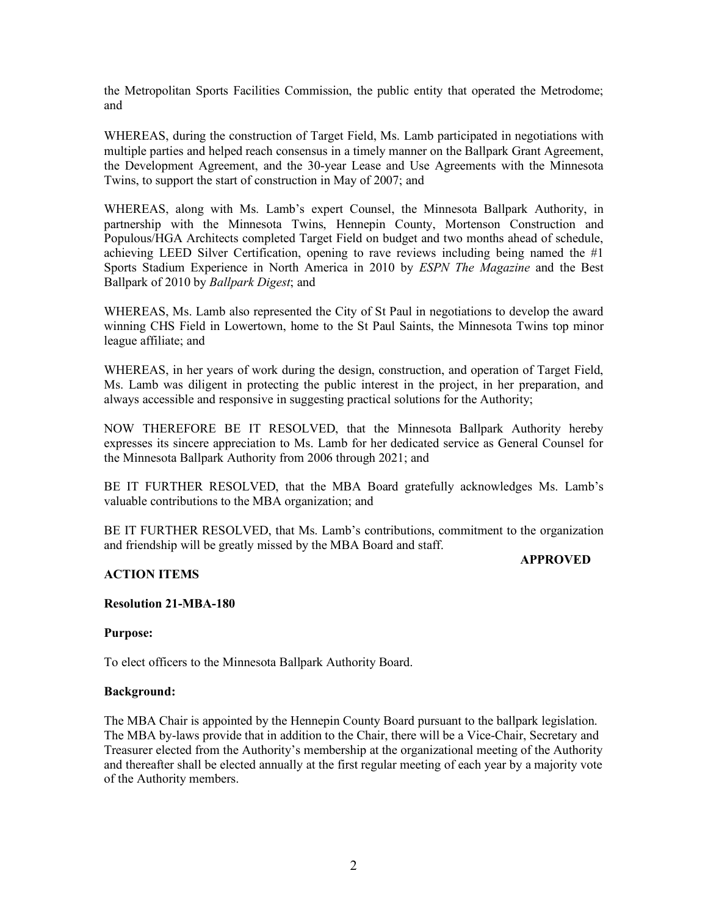the Metropolitan Sports Facilities Commission, the public entity that operated the Metrodome; and

WHEREAS, during the construction of Target Field, Ms. Lamb participated in negotiations with multiple parties and helped reach consensus in a timely manner on the Ballpark Grant Agreement, the Development Agreement, and the 30-year Lease and Use Agreements with the Minnesota Twins, to support the start of construction in May of 2007; and

WHEREAS, along with Ms. Lamb's expert Counsel, the Minnesota Ballpark Authority, in partnership with the Minnesota Twins, Hennepin County, Mortenson Construction and Populous/HGA Architects completed Target Field on budget and two months ahead of schedule, achieving LEED Silver Certification, opening to rave reviews including being named the  $#1$ Sports Stadium Experience in North America in 2010 by *ESPN The Magazine* and the Best Ballpark of 2010 by *Ballpark Digest*; and

WHEREAS, Ms. Lamb also represented the City of St Paul in negotiations to develop the award winning CHS Field in Lowertown, home to the St Paul Saints, the Minnesota Twins top minor league affiliate; and

WHEREAS, in her years of work during the design, construction, and operation of Target Field, Ms. Lamb was diligent in protecting the public interest in the project, in her preparation, and always accessible and responsive in suggesting practical solutions for the Authority;

NOW THEREFORE BE IT RESOLVED, that the Minnesota Ballpark Authority hereby expresses its sincere appreciation to Ms. Lamb for her dedicated service as General Counsel for the Minnesota Ballpark Authority from 2006 through 2021; and

BE IT FURTHER RESOLVED, that the MBA Board gratefully acknowledges Ms. Lamb's valuable contributions to the MBA organization; and

BE IT FURTHER RESOLVED, that Ms. Lamb's contributions, commitment to the organization and friendship will be greatly missed by the MBA Board and staff.

#### **APPROVED**

## **ACTION ITEMS**

## **Resolution 21-MBA-180**

**Purpose:** 

To elect officers to the Minnesota Ballpark Authority Board.

## **Background:**

The MBA Chair is appointed by the Hennepin County Board pursuant to the ballpark legislation. The MBA by-laws provide that in addition to the Chair, there will be a Vice-Chair, Secretary and Treasurer elected from the Authority's membership at the organizational meeting of the Authority and thereafter shall be elected annually at the first regular meeting of each year by a majority vote of the Authority members.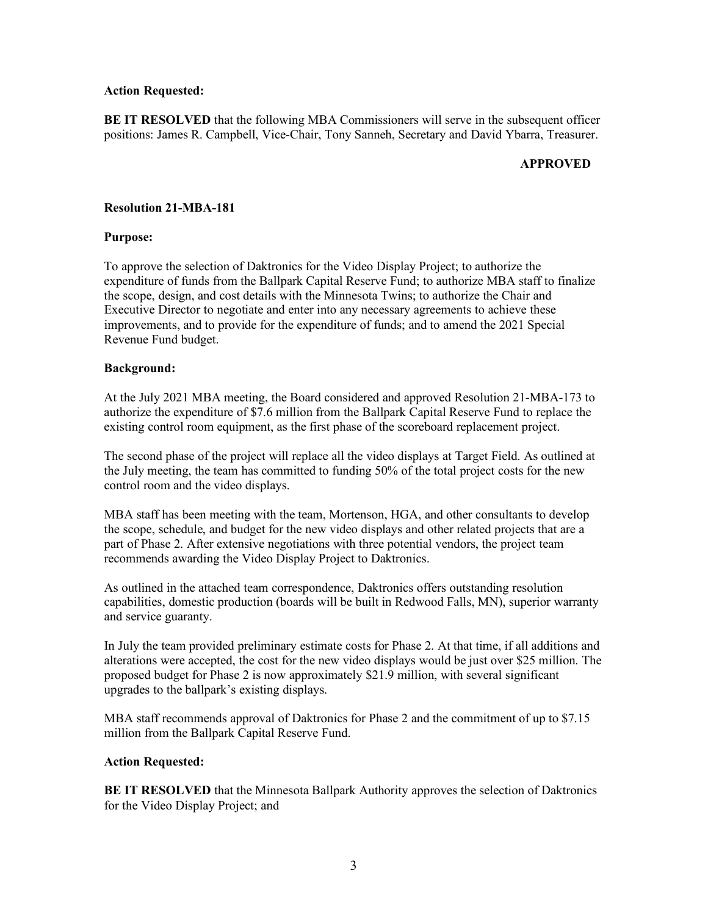#### **Action Requested:**

**BE IT RESOLVED** that the following MBA Commissioners will serve in the subsequent officer positions: James R. Campbell, Vice-Chair, Tony Sanneh, Secretary and David Ybarra, Treasurer.

### **APPROVED**

### **Resolution 21-MBA-181**

### **Purpose:**

To approve the selection of Daktronics for the Video Display Project; to authorize the expenditure of funds from the Ballpark Capital Reserve Fund; to authorize MBA staff to finalize the scope, design, and cost details with the Minnesota Twins; to authorize the Chair and Executive Director to negotiate and enter into any necessary agreements to achieve these improvements, and to provide for the expenditure of funds; and to amend the 2021 Special Revenue Fund budget.

### **Background:**

At the July 2021 MBA meeting, the Board considered and approved Resolution 21-MBA-173 to authorize the expenditure of \$7.6 million from the Ballpark Capital Reserve Fund to replace the existing control room equipment, as the first phase of the scoreboard replacement project.

The second phase of the project will replace all the video displays at Target Field. As outlined at the July meeting, the team has committed to funding 50% of the total project costs for the new control room and the video displays.

MBA staff has been meeting with the team, Mortenson, HGA, and other consultants to develop the scope, schedule, and budget for the new video displays and other related projects that are a part of Phase 2. After extensive negotiations with three potential vendors, the project team recommends awarding the Video Display Project to Daktronics.

As outlined in the attached team correspondence, Daktronics offers outstanding resolution capabilities, domestic production (boards will be built in Redwood Falls, MN), superior warranty and service guaranty.

In July the team provided preliminary estimate costs for Phase 2. At that time, if all additions and alterations were accepted, the cost for the new video displays would be just over \$25 million. The proposed budget for Phase 2 is now approximately \$21.9 million, with several significant upgrades to the ballpark's existing displays.

MBA staff recommends approval of Daktronics for Phase 2 and the commitment of up to \$7.15 million from the Ballpark Capital Reserve Fund.

#### **Action Requested:**

**BE IT RESOLVED** that the Minnesota Ballpark Authority approves the selection of Daktronics for the Video Display Project; and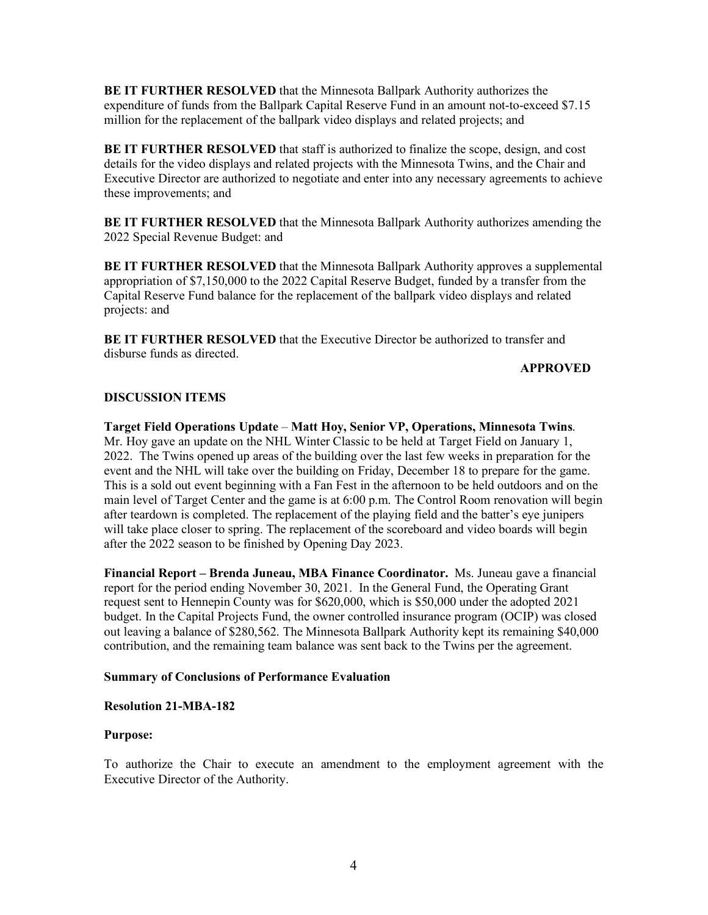**BE IT FURTHER RESOLVED** that the Minnesota Ballpark Authority authorizes the expenditure of funds from the Ballpark Capital Reserve Fund in an amount not-to-exceed \$7.15 million for the replacement of the ballpark video displays and related projects; and

**BE IT FURTHER RESOLVED** that staff is authorized to finalize the scope, design, and cost details for the video displays and related projects with the Minnesota Twins, and the Chair and Executive Director are authorized to negotiate and enter into any necessary agreements to achieve these improvements; and

**BE IT FURTHER RESOLVED** that the Minnesota Ballpark Authority authorizes amending the 2022 Special Revenue Budget: and

**BE IT FURTHER RESOLVED** that the Minnesota Ballpark Authority approves a supplemental appropriation of \$7,150,000 to the 2022 Capital Reserve Budget, funded by a transfer from the Capital Reserve Fund balance for the replacement of the ballpark video displays and related projects: and

**BE IT FURTHER RESOLVED** that the Executive Director be authorized to transfer and disburse funds as directed.

### **APPROVED**

## **DISCUSSION ITEMS**

**Target Field Operations Update** – **Matt Hoy, Senior VP, Operations, Minnesota Twins**. Mr. Hoy gave an update on the NHL Winter Classic to be held at Target Field on January 1, 2022. The Twins opened up areas of the building over the last few weeks in preparation for the event and the NHL will take over the building on Friday, December 18 to prepare for the game. This is a sold out event beginning with a Fan Fest in the afternoon to be held outdoors and on the main level of Target Center and the game is at 6:00 p.m. The Control Room renovation will begin after teardown is completed. The replacement of the playing field and the batter's eye junipers will take place closer to spring. The replacement of the scoreboard and video boards will begin after the 2022 season to be finished by Opening Day 2023.

**Financial Report – Brenda Juneau, MBA Finance Coordinator.** Ms. Juneau gave a financial report for the period ending November 30, 2021. In the General Fund, the Operating Grant request sent to Hennepin County was for \$620,000, which is \$50,000 under the adopted 2021 budget. In the Capital Projects Fund, the owner controlled insurance program (OCIP) was closed out leaving a balance of \$280,562. The Minnesota Ballpark Authority kept its remaining \$40,000 contribution, and the remaining team balance was sent back to the Twins per the agreement.

## **Summary of Conclusions of Performance Evaluation**

## **Resolution 21-MBA-182**

## **Purpose:**

To authorize the Chair to execute an amendment to the employment agreement with the Executive Director of the Authority.